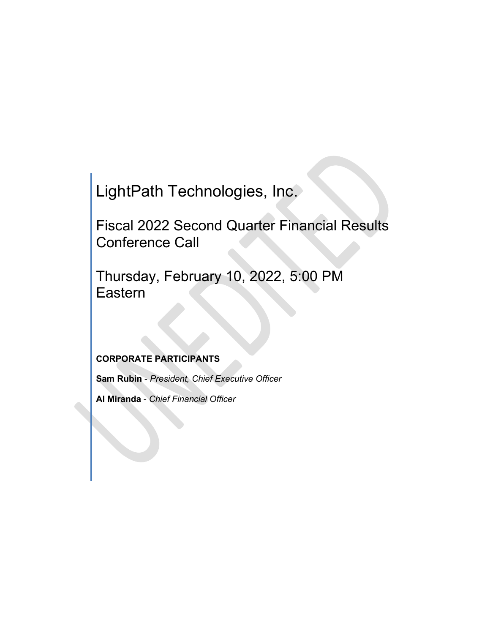LightPath Technologies, Inc.

Fiscal 2022 Second Quarter Financial Results Conference Call

Thursday, February 10, 2022, 5:00 PM Eastern

# **CORPORATE PARTICIPANTS**

**Sam Rubin** - *President, Chief Executive Officer*

**Al Miranda** - *Chief Financial Officer*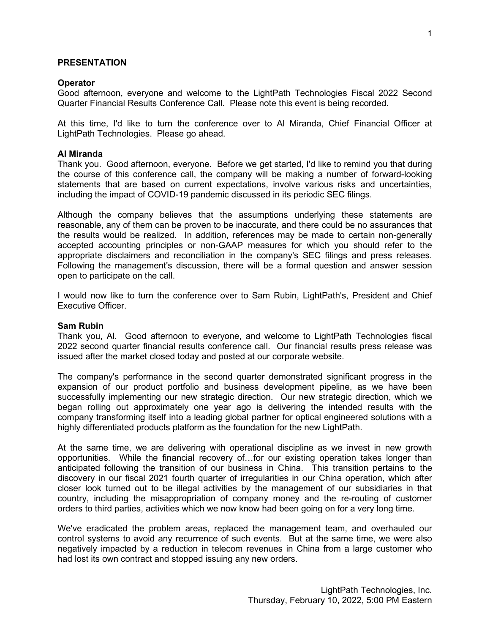### **PRESENTATION**

#### **Operator**

Good afternoon, everyone and welcome to the LightPath Technologies Fiscal 2022 Second Quarter Financial Results Conference Call. Please note this event is being recorded.

At this time, I'd like to turn the conference over to Al Miranda, Chief Financial Officer at LightPath Technologies. Please go ahead.

#### **Al Miranda**

Thank you. Good afternoon, everyone. Before we get started, I'd like to remind you that during the course of this conference call, the company will be making a number of forward-looking statements that are based on current expectations, involve various risks and uncertainties, including the impact of COVID-19 pandemic discussed in its periodic SEC filings.

Although the company believes that the assumptions underlying these statements are reasonable, any of them can be proven to be inaccurate, and there could be no assurances that the results would be realized. In addition, references may be made to certain non-generally accepted accounting principles or non-GAAP measures for which you should refer to the appropriate disclaimers and reconciliation in the company's SEC filings and press releases. Following the management's discussion, there will be a formal question and answer session open to participate on the call.

I would now like to turn the conference over to Sam Rubin, LightPath's, President and Chief Executive Officer.

#### **Sam Rubin**

Thank you, Al. Good afternoon to everyone, and welcome to LightPath Technologies fiscal 2022 second quarter financial results conference call. Our financial results press release was issued after the market closed today and posted at our corporate website.

The company's performance in the second quarter demonstrated significant progress in the expansion of our product portfolio and business development pipeline, as we have been successfully implementing our new strategic direction. Our new strategic direction, which we began rolling out approximately one year ago is delivering the intended results with the company transforming itself into a leading global partner for optical engineered solutions with a highly differentiated products platform as the foundation for the new LightPath.

At the same time, we are delivering with operational discipline as we invest in new growth opportunities. While the financial recovery of…for our existing operation takes longer than anticipated following the transition of our business in China. This transition pertains to the discovery in our fiscal 2021 fourth quarter of irregularities in our China operation, which after closer look turned out to be illegal activities by the management of our subsidiaries in that country, including the misappropriation of company money and the re-routing of customer orders to third parties, activities which we now know had been going on for a very long time.

We've eradicated the problem areas, replaced the management team, and overhauled our control systems to avoid any recurrence of such events. But at the same time, we were also negatively impacted by a reduction in telecom revenues in China from a large customer who had lost its own contract and stopped issuing any new orders.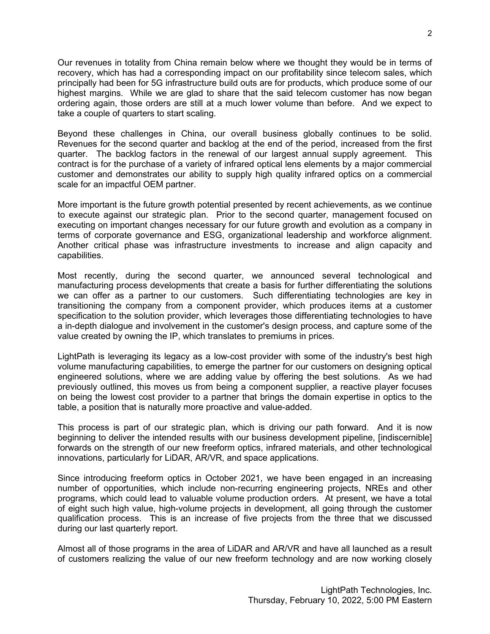Our revenues in totality from China remain below where we thought they would be in terms of recovery, which has had a corresponding impact on our profitability since telecom sales, which principally had been for 5G infrastructure build outs are for products, which produce some of our highest margins. While we are glad to share that the said telecom customer has now began ordering again, those orders are still at a much lower volume than before. And we expect to take a couple of quarters to start scaling.

Beyond these challenges in China, our overall business globally continues to be solid. Revenues for the second quarter and backlog at the end of the period, increased from the first quarter. The backlog factors in the renewal of our largest annual supply agreement. This contract is for the purchase of a variety of infrared optical lens elements by a major commercial customer and demonstrates our ability to supply high quality infrared optics on a commercial scale for an impactful OEM partner.

More important is the future growth potential presented by recent achievements, as we continue to execute against our strategic plan. Prior to the second quarter, management focused on executing on important changes necessary for our future growth and evolution as a company in terms of corporate governance and ESG, organizational leadership and workforce alignment. Another critical phase was infrastructure investments to increase and align capacity and capabilities.

Most recently, during the second quarter, we announced several technological and manufacturing process developments that create a basis for further differentiating the solutions we can offer as a partner to our customers. Such differentiating technologies are key in transitioning the company from a component provider, which produces items at a customer specification to the solution provider, which leverages those differentiating technologies to have a in-depth dialogue and involvement in the customer's design process, and capture some of the value created by owning the IP, which translates to premiums in prices.

LightPath is leveraging its legacy as a low-cost provider with some of the industry's best high volume manufacturing capabilities, to emerge the partner for our customers on designing optical engineered solutions, where we are adding value by offering the best solutions. As we had previously outlined, this moves us from being a component supplier, a reactive player focuses on being the lowest cost provider to a partner that brings the domain expertise in optics to the table, a position that is naturally more proactive and value-added.

This process is part of our strategic plan, which is driving our path forward. And it is now beginning to deliver the intended results with our business development pipeline, [indiscernible] forwards on the strength of our new freeform optics, infrared materials, and other technological innovations, particularly for LiDAR, AR/VR, and space applications.

Since introducing freeform optics in October 2021, we have been engaged in an increasing number of opportunities, which include non-recurring engineering projects, NREs and other programs, which could lead to valuable volume production orders. At present, we have a total of eight such high value, high-volume projects in development, all going through the customer qualification process. This is an increase of five projects from the three that we discussed during our last quarterly report.

Almost all of those programs in the area of LiDAR and AR/VR and have all launched as a result of customers realizing the value of our new freeform technology and are now working closely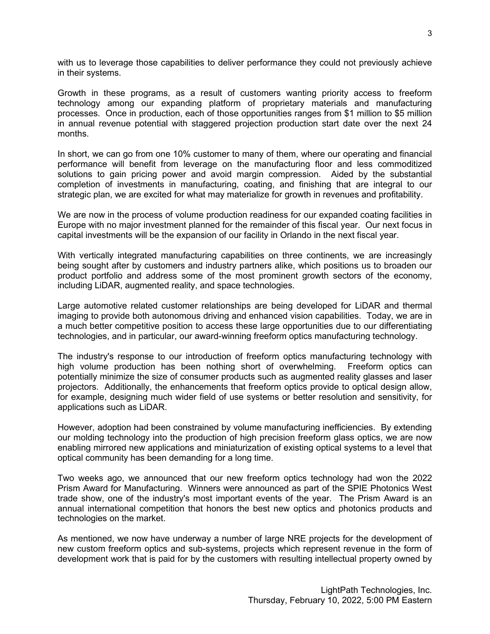with us to leverage those capabilities to deliver performance they could not previously achieve in their systems.

Growth in these programs, as a result of customers wanting priority access to freeform technology among our expanding platform of proprietary materials and manufacturing processes. Once in production, each of those opportunities ranges from \$1 million to \$5 million in annual revenue potential with staggered projection production start date over the next 24 months.

In short, we can go from one 10% customer to many of them, where our operating and financial performance will benefit from leverage on the manufacturing floor and less commoditized solutions to gain pricing power and avoid margin compression. Aided by the substantial completion of investments in manufacturing, coating, and finishing that are integral to our strategic plan, we are excited for what may materialize for growth in revenues and profitability.

We are now in the process of volume production readiness for our expanded coating facilities in Europe with no major investment planned for the remainder of this fiscal year. Our next focus in capital investments will be the expansion of our facility in Orlando in the next fiscal year.

With vertically integrated manufacturing capabilities on three continents, we are increasingly being sought after by customers and industry partners alike, which positions us to broaden our product portfolio and address some of the most prominent growth sectors of the economy, including LiDAR, augmented reality, and space technologies.

Large automotive related customer relationships are being developed for LiDAR and thermal imaging to provide both autonomous driving and enhanced vision capabilities. Today, we are in a much better competitive position to access these large opportunities due to our differentiating technologies, and in particular, our award-winning freeform optics manufacturing technology.

The industry's response to our introduction of freeform optics manufacturing technology with high volume production has been nothing short of overwhelming. Freeform optics can potentially minimize the size of consumer products such as augmented reality glasses and laser projectors. Additionally, the enhancements that freeform optics provide to optical design allow, for example, designing much wider field of use systems or better resolution and sensitivity, for applications such as LiDAR.

However, adoption had been constrained by volume manufacturing inefficiencies. By extending our molding technology into the production of high precision freeform glass optics, we are now enabling mirrored new applications and miniaturization of existing optical systems to a level that optical community has been demanding for a long time.

Two weeks ago, we announced that our new freeform optics technology had won the 2022 Prism Award for Manufacturing. Winners were announced as part of the SPIE Photonics West trade show, one of the industry's most important events of the year. The Prism Award is an annual international competition that honors the best new optics and photonics products and technologies on the market.

As mentioned, we now have underway a number of large NRE projects for the development of new custom freeform optics and sub-systems, projects which represent revenue in the form of development work that is paid for by the customers with resulting intellectual property owned by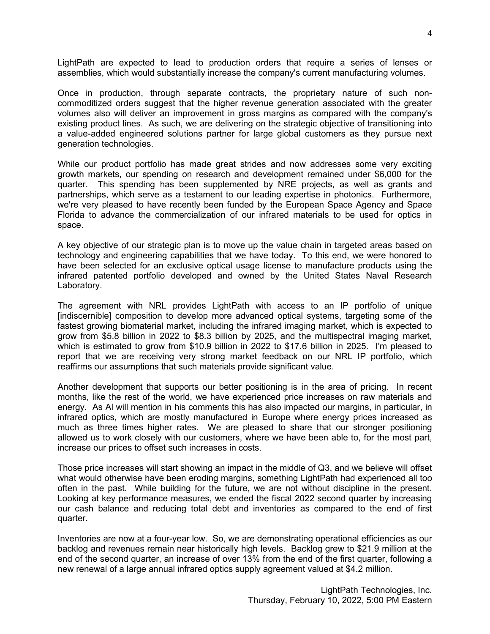LightPath are expected to lead to production orders that require a series of lenses or assemblies, which would substantially increase the company's current manufacturing volumes.

Once in production, through separate contracts, the proprietary nature of such noncommoditized orders suggest that the higher revenue generation associated with the greater volumes also will deliver an improvement in gross margins as compared with the company's existing product lines. As such, we are delivering on the strategic objective of transitioning into a value-added engineered solutions partner for large global customers as they pursue next generation technologies.

While our product portfolio has made great strides and now addresses some very exciting growth markets, our spending on research and development remained under \$6,000 for the quarter. This spending has been supplemented by NRE projects, as well as grants and partnerships, which serve as a testament to our leading expertise in photonics. Furthermore, we're very pleased to have recently been funded by the European Space Agency and Space Florida to advance the commercialization of our infrared materials to be used for optics in space.

A key objective of our strategic plan is to move up the value chain in targeted areas based on technology and engineering capabilities that we have today. To this end, we were honored to have been selected for an exclusive optical usage license to manufacture products using the infrared patented portfolio developed and owned by the United States Naval Research Laboratory.

The agreement with NRL provides LightPath with access to an IP portfolio of unique [indiscernible] composition to develop more advanced optical systems, targeting some of the fastest growing biomaterial market, including the infrared imaging market, which is expected to grow from \$5.8 billion in 2022 to \$8.3 billion by 2025, and the multispectral imaging market, which is estimated to grow from \$10.9 billion in 2022 to \$17.6 billion in 2025. I'm pleased to report that we are receiving very strong market feedback on our NRL IP portfolio, which reaffirms our assumptions that such materials provide significant value.

Another development that supports our better positioning is in the area of pricing. In recent months, like the rest of the world, we have experienced price increases on raw materials and energy. As Al will mention in his comments this has also impacted our margins, in particular, in infrared optics, which are mostly manufactured in Europe where energy prices increased as much as three times higher rates. We are pleased to share that our stronger positioning allowed us to work closely with our customers, where we have been able to, for the most part, increase our prices to offset such increases in costs.

Those price increases will start showing an impact in the middle of Q3, and we believe will offset what would otherwise have been eroding margins, something LightPath had experienced all too often in the past. While building for the future, we are not without discipline in the present. Looking at key performance measures, we ended the fiscal 2022 second quarter by increasing our cash balance and reducing total debt and inventories as compared to the end of first quarter.

Inventories are now at a four-year low. So, we are demonstrating operational efficiencies as our backlog and revenues remain near historically high levels. Backlog grew to \$21.9 million at the end of the second quarter, an increase of over 13% from the end of the first quarter, following a new renewal of a large annual infrared optics supply agreement valued at \$4.2 million.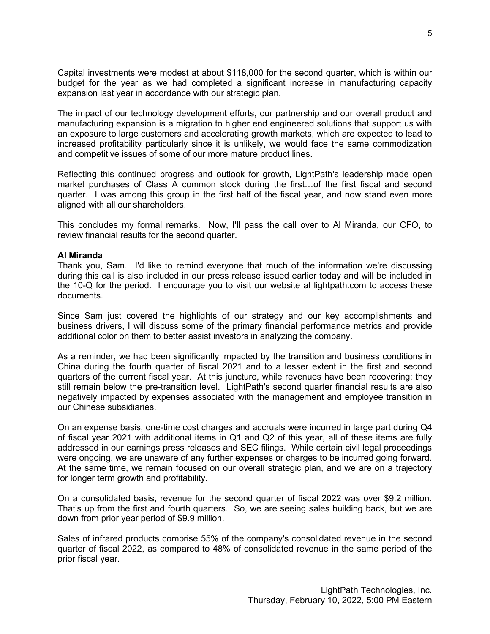Capital investments were modest at about \$118,000 for the second quarter, which is within our budget for the year as we had completed a significant increase in manufacturing capacity expansion last year in accordance with our strategic plan.

The impact of our technology development efforts, our partnership and our overall product and manufacturing expansion is a migration to higher end engineered solutions that support us with an exposure to large customers and accelerating growth markets, which are expected to lead to increased profitability particularly since it is unlikely, we would face the same commodization and competitive issues of some of our more mature product lines.

Reflecting this continued progress and outlook for growth, LightPath's leadership made open market purchases of Class A common stock during the first…of the first fiscal and second quarter. I was among this group in the first half of the fiscal year, and now stand even more aligned with all our shareholders.

This concludes my formal remarks. Now, I'll pass the call over to Al Miranda, our CFO, to review financial results for the second quarter.

# **Al Miranda**

Thank you, Sam. I'd like to remind everyone that much of the information we're discussing during this call is also included in our press release issued earlier today and will be included in the 10-Q for the period. I encourage you to visit our website at lightpath.com to access these documents.

Since Sam just covered the highlights of our strategy and our key accomplishments and business drivers, I will discuss some of the primary financial performance metrics and provide additional color on them to better assist investors in analyzing the company.

As a reminder, we had been significantly impacted by the transition and business conditions in China during the fourth quarter of fiscal 2021 and to a lesser extent in the first and second quarters of the current fiscal year. At this juncture, while revenues have been recovering; they still remain below the pre-transition level. LightPath's second quarter financial results are also negatively impacted by expenses associated with the management and employee transition in our Chinese subsidiaries.

On an expense basis, one-time cost charges and accruals were incurred in large part during Q4 of fiscal year 2021 with additional items in Q1 and Q2 of this year, all of these items are fully addressed in our earnings press releases and SEC filings. While certain civil legal proceedings were ongoing, we are unaware of any further expenses or charges to be incurred going forward. At the same time, we remain focused on our overall strategic plan, and we are on a trajectory for longer term growth and profitability.

On a consolidated basis, revenue for the second quarter of fiscal 2022 was over \$9.2 million. That's up from the first and fourth quarters. So, we are seeing sales building back, but we are down from prior year period of \$9.9 million.

Sales of infrared products comprise 55% of the company's consolidated revenue in the second quarter of fiscal 2022, as compared to 48% of consolidated revenue in the same period of the prior fiscal year.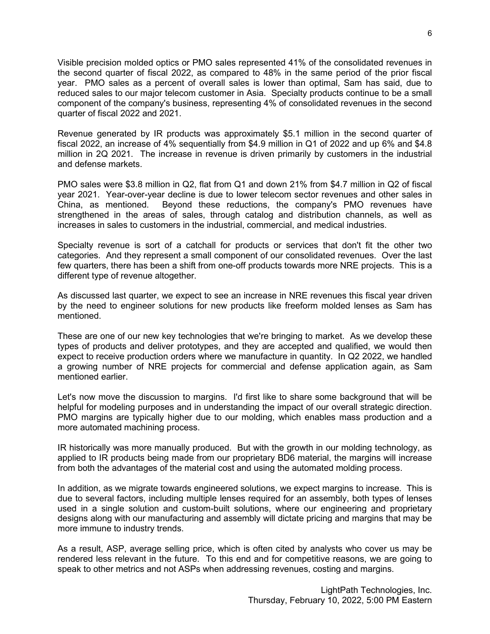Visible precision molded optics or PMO sales represented 41% of the consolidated revenues in the second quarter of fiscal 2022, as compared to 48% in the same period of the prior fiscal year. PMO sales as a percent of overall sales is lower than optimal, Sam has said, due to reduced sales to our major telecom customer in Asia. Specialty products continue to be a small component of the company's business, representing 4% of consolidated revenues in the second quarter of fiscal 2022 and 2021.

Revenue generated by IR products was approximately \$5.1 million in the second quarter of fiscal 2022, an increase of 4% sequentially from \$4.9 million in Q1 of 2022 and up 6% and \$4.8 million in 2Q 2021. The increase in revenue is driven primarily by customers in the industrial and defense markets.

PMO sales were \$3.8 million in Q2, flat from Q1 and down 21% from \$4.7 million in Q2 of fiscal year 2021. Year-over-year decline is due to lower telecom sector revenues and other sales in China, as mentioned. Beyond these reductions, the company's PMO revenues have strengthened in the areas of sales, through catalog and distribution channels, as well as increases in sales to customers in the industrial, commercial, and medical industries.

Specialty revenue is sort of a catchall for products or services that don't fit the other two categories. And they represent a small component of our consolidated revenues. Over the last few quarters, there has been a shift from one-off products towards more NRE projects. This is a different type of revenue altogether.

As discussed last quarter, we expect to see an increase in NRE revenues this fiscal year driven by the need to engineer solutions for new products like freeform molded lenses as Sam has mentioned.

These are one of our new key technologies that we're bringing to market. As we develop these types of products and deliver prototypes, and they are accepted and qualified, we would then expect to receive production orders where we manufacture in quantity. In Q2 2022, we handled a growing number of NRE projects for commercial and defense application again, as Sam mentioned earlier.

Let's now move the discussion to margins. I'd first like to share some background that will be helpful for modeling purposes and in understanding the impact of our overall strategic direction. PMO margins are typically higher due to our molding, which enables mass production and a more automated machining process.

IR historically was more manually produced. But with the growth in our molding technology, as applied to IR products being made from our proprietary BD6 material, the margins will increase from both the advantages of the material cost and using the automated molding process.

In addition, as we migrate towards engineered solutions, we expect margins to increase. This is due to several factors, including multiple lenses required for an assembly, both types of lenses used in a single solution and custom-built solutions, where our engineering and proprietary designs along with our manufacturing and assembly will dictate pricing and margins that may be more immune to industry trends.

As a result, ASP, average selling price, which is often cited by analysts who cover us may be rendered less relevant in the future. To this end and for competitive reasons, we are going to speak to other metrics and not ASPs when addressing revenues, costing and margins.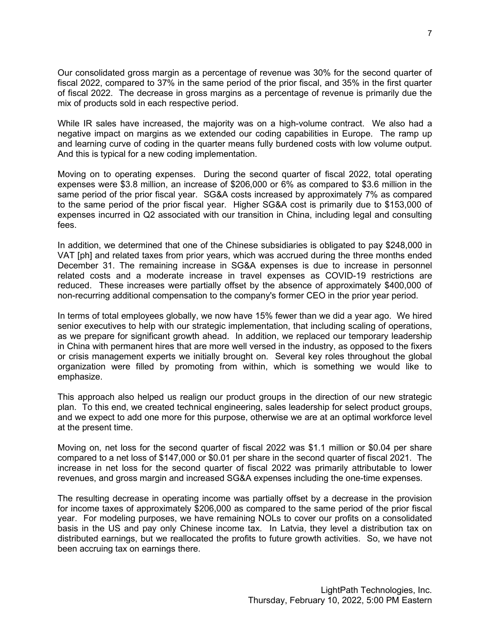Our consolidated gross margin as a percentage of revenue was 30% for the second quarter of fiscal 2022, compared to 37% in the same period of the prior fiscal, and 35% in the first quarter of fiscal 2022. The decrease in gross margins as a percentage of revenue is primarily due the mix of products sold in each respective period.

While IR sales have increased, the majority was on a high-volume contract. We also had a negative impact on margins as we extended our coding capabilities in Europe. The ramp up and learning curve of coding in the quarter means fully burdened costs with low volume output. And this is typical for a new coding implementation.

Moving on to operating expenses. During the second quarter of fiscal 2022, total operating expenses were \$3.8 million, an increase of \$206,000 or 6% as compared to \$3.6 million in the same period of the prior fiscal year. SG&A costs increased by approximately 7% as compared to the same period of the prior fiscal year. Higher SG&A cost is primarily due to \$153,000 of expenses incurred in Q2 associated with our transition in China, including legal and consulting fees.

In addition, we determined that one of the Chinese subsidiaries is obligated to pay \$248,000 in VAT [ph] and related taxes from prior years, which was accrued during the three months ended December 31. The remaining increase in SG&A expenses is due to increase in personnel related costs and a moderate increase in travel expenses as COVID-19 restrictions are reduced. These increases were partially offset by the absence of approximately \$400,000 of non-recurring additional compensation to the company's former CEO in the prior year period.

In terms of total employees globally, we now have 15% fewer than we did a year ago. We hired senior executives to help with our strategic implementation, that including scaling of operations, as we prepare for significant growth ahead. In addition, we replaced our temporary leadership in China with permanent hires that are more well versed in the industry, as opposed to the fixers or crisis management experts we initially brought on. Several key roles throughout the global organization were filled by promoting from within, which is something we would like to emphasize.

This approach also helped us realign our product groups in the direction of our new strategic plan. To this end, we created technical engineering, sales leadership for select product groups, and we expect to add one more for this purpose, otherwise we are at an optimal workforce level at the present time.

Moving on, net loss for the second quarter of fiscal 2022 was \$1.1 million or \$0.04 per share compared to a net loss of \$147,000 or \$0.01 per share in the second quarter of fiscal 2021. The increase in net loss for the second quarter of fiscal 2022 was primarily attributable to lower revenues, and gross margin and increased SG&A expenses including the one-time expenses.

The resulting decrease in operating income was partially offset by a decrease in the provision for income taxes of approximately \$206,000 as compared to the same period of the prior fiscal year. For modeling purposes, we have remaining NOLs to cover our profits on a consolidated basis in the US and pay only Chinese income tax. In Latvia, they level a distribution tax on distributed earnings, but we reallocated the profits to future growth activities. So, we have not been accruing tax on earnings there.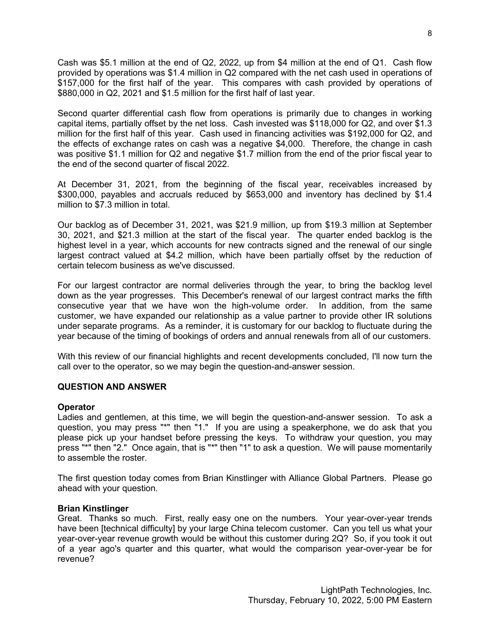Cash was \$5.1 million at the end of Q2, 2022, up from \$4 million at the end of Q1. Cash flow provided by operations was \$1.4 million in Q2 compared with the net cash used in operations of \$157,000 for the first half of the year. This compares with cash provided by operations of \$880,000 in Q2, 2021 and \$1.5 million for the first half of last year.

Second quarter differential cash flow from operations is primarily due to changes in working capital items, partially offset by the net loss. Cash invested was \$118,000 for Q2, and over \$1.3 million for the first half of this year. Cash used in financing activities was \$192,000 for Q2, and the effects of exchange rates on cash was a negative \$4,000. Therefore, the change in cash was positive \$1.1 million for Q2 and negative \$1.7 million from the end of the prior fiscal year to the end of the second quarter of fiscal 2022.

At December 31, 2021, from the beginning of the fiscal year, receivables increased by \$300,000, payables and accruals reduced by \$653,000 and inventory has declined by \$1.4 million to \$7.3 million in total.

Our backlog as of December 31, 2021, was \$21.9 million, up from \$19.3 million at September 30, 2021, and \$21.3 million at the start of the fiscal year. The quarter ended backlog is the highest level in a year, which accounts for new contracts signed and the renewal of our single largest contract valued at \$4.2 million, which have been partially offset by the reduction of certain telecom business as we've discussed.

For our largest contractor are normal deliveries through the year, to bring the backlog level down as the year progresses. This December's renewal of our largest contract marks the fifth consecutive year that we have won the high-volume order. In addition, from the same customer, we have expanded our relationship as a value partner to provide other IR solutions under separate programs. As a reminder, it is customary for our backlog to fluctuate during the year because of the timing of bookings of orders and annual renewals from all of our customers.

With this review of our financial highlights and recent developments concluded, I'll now turn the call over to the operator, so we may begin the question-and-answer session.

# **QUESTION AND ANSWER**

# **Operator**

Ladies and gentlemen, at this time, we will begin the question-and-answer session. To ask a question, you may press "\*" then "1." If you are using a speakerphone, we do ask that you please pick up your handset before pressing the keys. To withdraw your question, you may press "\*" then "2." Once again, that is "\*" then "1" to ask a question. We will pause momentarily to assemble the roster.

The first question today comes from Brian Kinstlinger with Alliance Global Partners. Please go ahead with your question.

# **Brian Kinstlinger**

Great. Thanks so much. First, really easy one on the numbers. Your year-over-year trends have been [technical difficulty] by your large China telecom customer. Can you tell us what your year-over-year revenue growth would be without this customer during 2Q? So, if you took it out of a year ago's quarter and this quarter, what would the comparison year-over-year be for revenue?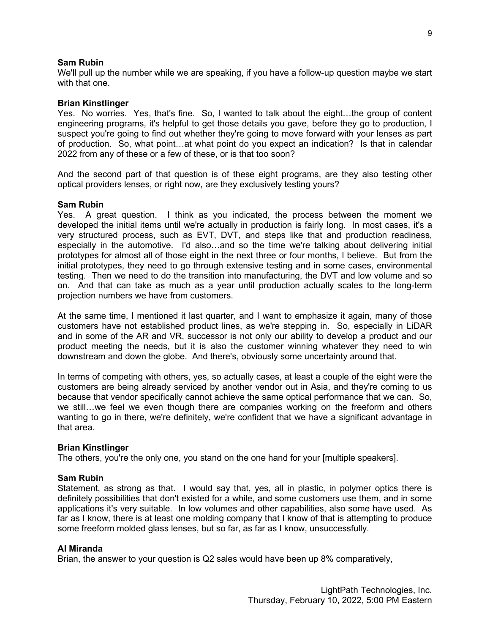### **Sam Rubin**

We'll pull up the number while we are speaking, if you have a follow-up question maybe we start with that one.

#### **Brian Kinstlinger**

Yes. No worries. Yes, that's fine. So, I wanted to talk about the eight…the group of content engineering programs, it's helpful to get those details you gave, before they go to production, I suspect you're going to find out whether they're going to move forward with your lenses as part of production. So, what point…at what point do you expect an indication? Is that in calendar 2022 from any of these or a few of these, or is that too soon?

And the second part of that question is of these eight programs, are they also testing other optical providers lenses, or right now, are they exclusively testing yours?

### **Sam Rubin**

Yes. A great question. I think as you indicated, the process between the moment we developed the initial items until we're actually in production is fairly long. In most cases, it's a very structured process, such as EVT, DVT, and steps like that and production readiness, especially in the automotive. I'd also…and so the time we're talking about delivering initial prototypes for almost all of those eight in the next three or four months, I believe. But from the initial prototypes, they need to go through extensive testing and in some cases, environmental testing. Then we need to do the transition into manufacturing, the DVT and low volume and so on. And that can take as much as a year until production actually scales to the long-term projection numbers we have from customers.

At the same time, I mentioned it last quarter, and I want to emphasize it again, many of those customers have not established product lines, as we're stepping in. So, especially in LiDAR and in some of the AR and VR, successor is not only our ability to develop a product and our product meeting the needs, but it is also the customer winning whatever they need to win downstream and down the globe. And there's, obviously some uncertainty around that.

In terms of competing with others, yes, so actually cases, at least a couple of the eight were the customers are being already serviced by another vendor out in Asia, and they're coming to us because that vendor specifically cannot achieve the same optical performance that we can. So, we still…we feel we even though there are companies working on the freeform and others wanting to go in there, we're definitely, we're confident that we have a significant advantage in that area.

#### **Brian Kinstlinger**

The others, you're the only one, you stand on the one hand for your [multiple speakers].

#### **Sam Rubin**

Statement, as strong as that. I would say that, yes, all in plastic, in polymer optics there is definitely possibilities that don't existed for a while, and some customers use them, and in some applications it's very suitable. In low volumes and other capabilities, also some have used. As far as I know, there is at least one molding company that I know of that is attempting to produce some freeform molded glass lenses, but so far, as far as I know, unsuccessfully.

#### **Al Miranda**

Brian, the answer to your question is Q2 sales would have been up 8% comparatively,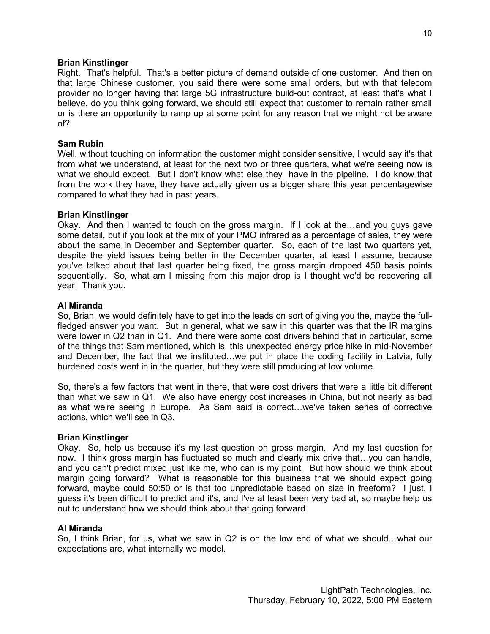# **Brian Kinstlinger**

Right. That's helpful. That's a better picture of demand outside of one customer. And then on that large Chinese customer, you said there were some small orders, but with that telecom provider no longer having that large 5G infrastructure build-out contract, at least that's what I believe, do you think going forward, we should still expect that customer to remain rather small or is there an opportunity to ramp up at some point for any reason that we might not be aware of?

# **Sam Rubin**

Well, without touching on information the customer might consider sensitive, I would say it's that from what we understand, at least for the next two or three quarters, what we're seeing now is what we should expect. But I don't know what else they have in the pipeline. I do know that from the work they have, they have actually given us a bigger share this year percentagewise compared to what they had in past years.

# **Brian Kinstlinger**

Okay. And then I wanted to touch on the gross margin. If I look at the…and you guys gave some detail, but if you look at the mix of your PMO infrared as a percentage of sales, they were about the same in December and September quarter. So, each of the last two quarters yet, despite the yield issues being better in the December quarter, at least I assume, because you've talked about that last quarter being fixed, the gross margin dropped 450 basis points sequentially. So, what am I missing from this major drop is I thought we'd be recovering all year. Thank you.

# **Al Miranda**

So, Brian, we would definitely have to get into the leads on sort of giving you the, maybe the fullfledged answer you want. But in general, what we saw in this quarter was that the IR margins were lower in Q2 than in Q1. And there were some cost drivers behind that in particular, some of the things that Sam mentioned, which is, this unexpected energy price hike in mid-November and December, the fact that we instituted…we put in place the coding facility in Latvia, fully burdened costs went in in the quarter, but they were still producing at low volume.

So, there's a few factors that went in there, that were cost drivers that were a little bit different than what we saw in Q1. We also have energy cost increases in China, but not nearly as bad as what we're seeing in Europe. As Sam said is correct…we've taken series of corrective actions, which we'll see in Q3.

# **Brian Kinstlinger**

Okay. So, help us because it's my last question on gross margin. And my last question for now. I think gross margin has fluctuated so much and clearly mix drive that…you can handle, and you can't predict mixed just like me, who can is my point. But how should we think about margin going forward? What is reasonable for this business that we should expect going forward, maybe could 50:50 or is that too unpredictable based on size in freeform? I just, I guess it's been difficult to predict and it's, and I've at least been very bad at, so maybe help us out to understand how we should think about that going forward.

# **Al Miranda**

So, I think Brian, for us, what we saw in Q2 is on the low end of what we should…what our expectations are, what internally we model.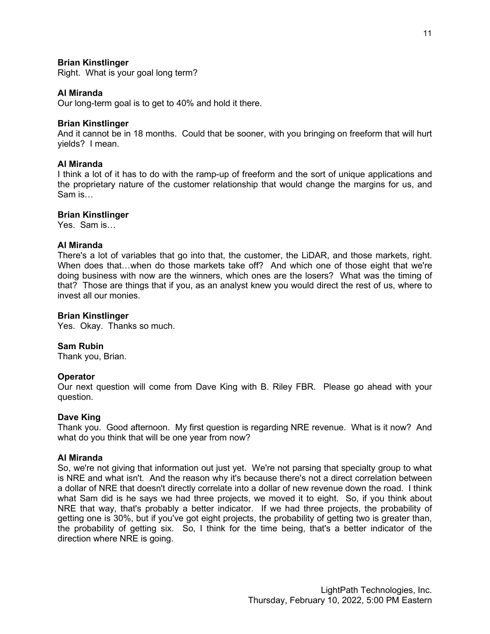# **Brian Kinstlinger**

Right. What is your goal long term?

# **Al Miranda**

Our long-term goal is to get to 40% and hold it there.

### **Brian Kinstlinger**

And it cannot be in 18 months. Could that be sooner, with you bringing on freeform that will hurt yields? I mean.

# **Al Miranda**

I think a lot of it has to do with the ramp-up of freeform and the sort of unique applications and the proprietary nature of the customer relationship that would change the margins for us, and Sam is…

### **Brian Kinstlinger**

Yes. Sam is…

### **Al Miranda**

There's a lot of variables that go into that, the customer, the LiDAR, and those markets, right. When does that...when do those markets take off? And which one of those eight that we're doing business with now are the winners, which ones are the losers? What was the timing of that? Those are things that if you, as an analyst knew you would direct the rest of us, where to invest all our monies.

#### **Brian Kinstlinger**

Yes. Okay. Thanks so much.

#### **Sam Rubin**

Thank you, Brian.

#### **Operator**

Our next question will come from Dave King with B. Riley FBR. Please go ahead with your question.

#### **Dave King**

Thank you. Good afternoon. My first question is regarding NRE revenue. What is it now? And what do you think that will be one year from now?

#### **Al Miranda**

So, we're not giving that information out just yet. We're not parsing that specialty group to what is NRE and what isn't. And the reason why it's because there's not a direct correlation between a dollar of NRE that doesn't directly correlate into a dollar of new revenue down the road. I think what Sam did is he says we had three projects, we moved it to eight. So, if you think about NRE that way, that's probably a better indicator. If we had three projects, the probability of getting one is 30%, but if you've got eight projects, the probability of getting two is greater than, the probability of getting six. So, I think for the time being, that's a better indicator of the direction where NRE is going.

11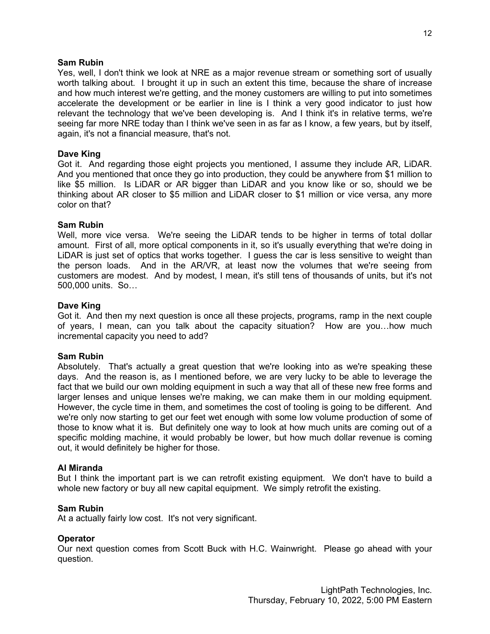### **Sam Rubin**

Yes, well, I don't think we look at NRE as a major revenue stream or something sort of usually worth talking about. I brought it up in such an extent this time, because the share of increase and how much interest we're getting, and the money customers are willing to put into sometimes accelerate the development or be earlier in line is I think a very good indicator to just how relevant the technology that we've been developing is. And I think it's in relative terms, we're seeing far more NRE today than I think we've seen in as far as I know, a few years, but by itself, again, it's not a financial measure, that's not.

### **Dave King**

Got it. And regarding those eight projects you mentioned, I assume they include AR, LiDAR. And you mentioned that once they go into production, they could be anywhere from \$1 million to like \$5 million. Is LiDAR or AR bigger than LiDAR and you know like or so, should we be thinking about AR closer to \$5 million and LiDAR closer to \$1 million or vice versa, any more color on that?

### **Sam Rubin**

Well, more vice versa. We're seeing the LiDAR tends to be higher in terms of total dollar amount. First of all, more optical components in it, so it's usually everything that we're doing in LiDAR is just set of optics that works together. I guess the car is less sensitive to weight than the person loads. And in the AR/VR, at least now the volumes that we're seeing from customers are modest. And by modest, I mean, it's still tens of thousands of units, but it's not 500,000 units. So…

### **Dave King**

Got it. And then my next question is once all these projects, programs, ramp in the next couple of years, I mean, can you talk about the capacity situation? How are you…how much incremental capacity you need to add?

# **Sam Rubin**

Absolutely. That's actually a great question that we're looking into as we're speaking these days. And the reason is, as I mentioned before, we are very lucky to be able to leverage the fact that we build our own molding equipment in such a way that all of these new free forms and larger lenses and unique lenses we're making, we can make them in our molding equipment. However, the cycle time in them, and sometimes the cost of tooling is going to be different. And we're only now starting to get our feet wet enough with some low volume production of some of those to know what it is. But definitely one way to look at how much units are coming out of a specific molding machine, it would probably be lower, but how much dollar revenue is coming out, it would definitely be higher for those.

#### **Al Miranda**

But I think the important part is we can retrofit existing equipment. We don't have to build a whole new factory or buy all new capital equipment. We simply retrofit the existing.

#### **Sam Rubin**

At a actually fairly low cost. It's not very significant.

#### **Operator**

Our next question comes from Scott Buck with H.C. Wainwright. Please go ahead with your question.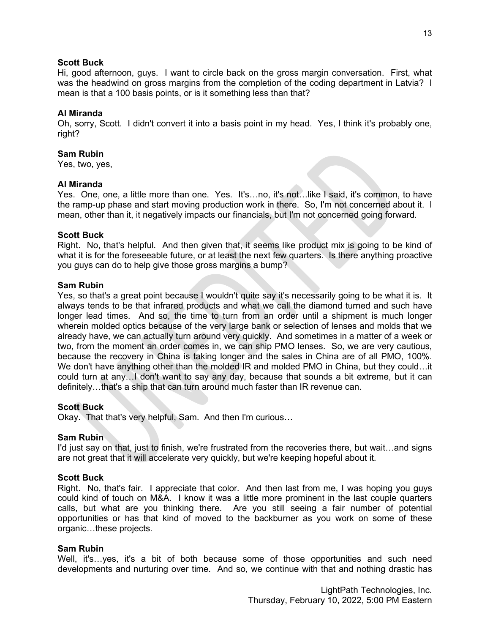# **Scott Buck**

Hi, good afternoon, guys. I want to circle back on the gross margin conversation. First, what was the headwind on gross margins from the completion of the coding department in Latvia? I mean is that a 100 basis points, or is it something less than that?

# **Al Miranda**

Oh, sorry, Scott. I didn't convert it into a basis point in my head. Yes, I think it's probably one, right?

# **Sam Rubin**

Yes, two, yes,

# **Al Miranda**

Yes. One, one, a little more than one. Yes. It's...no, it's not...like I said, it's common, to have the ramp-up phase and start moving production work in there. So, I'm not concerned about it. I mean, other than it, it negatively impacts our financials, but I'm not concerned going forward.

# **Scott Buck**

Right. No, that's helpful. And then given that, it seems like product mix is going to be kind of what it is for the foreseeable future, or at least the next few quarters. Is there anything proactive you guys can do to help give those gross margins a bump?

# **Sam Rubin**

Yes, so that's a great point because I wouldn't quite say it's necessarily going to be what it is. It always tends to be that infrared products and what we call the diamond turned and such have longer lead times. And so, the time to turn from an order until a shipment is much longer wherein molded optics because of the very large bank or selection of lenses and molds that we already have, we can actually turn around very quickly. And sometimes in a matter of a week or two, from the moment an order comes in, we can ship PMO lenses. So, we are very cautious, because the recovery in China is taking longer and the sales in China are of all PMO, 100%. We don't have anything other than the molded IR and molded PMO in China, but they could…it could turn at any…I don't want to say any day, because that sounds a bit extreme, but it can definitely…that's a ship that can turn around much faster than IR revenue can.

# **Scott Buck**

Okay. That that's very helpful, Sam. And then I'm curious…

# **Sam Rubin**

I'd just say on that, just to finish, we're frustrated from the recoveries there, but wait…and signs are not great that it will accelerate very quickly, but we're keeping hopeful about it.

# **Scott Buck**

Right. No, that's fair. I appreciate that color. And then last from me, I was hoping you guys could kind of touch on M&A. I know it was a little more prominent in the last couple quarters calls, but what are you thinking there. Are you still seeing a fair number of potential opportunities or has that kind of moved to the backburner as you work on some of these organic…these projects.

# **Sam Rubin**

Well, it's...yes, it's a bit of both because some of those opportunities and such need developments and nurturing over time. And so, we continue with that and nothing drastic has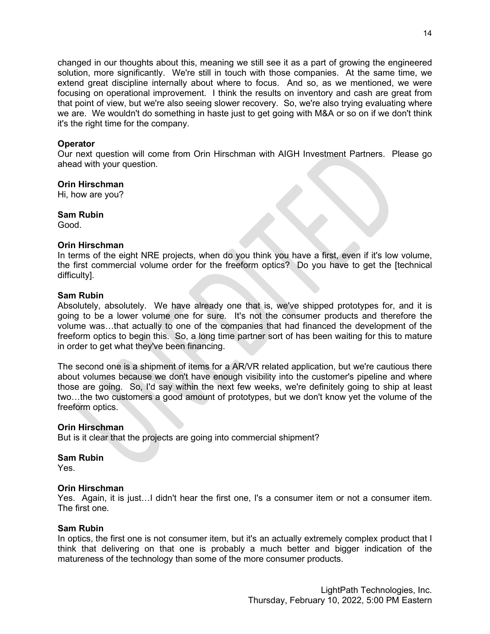changed in our thoughts about this, meaning we still see it as a part of growing the engineered solution, more significantly. We're still in touch with those companies. At the same time, we extend great discipline internally about where to focus. And so, as we mentioned, we were focusing on operational improvement. I think the results on inventory and cash are great from that point of view, but we're also seeing slower recovery. So, we're also trying evaluating where we are. We wouldn't do something in haste just to get going with M&A or so on if we don't think it's the right time for the company.

# **Operator**

Our next question will come from Orin Hirschman with AIGH Investment Partners. Please go ahead with your question.

# **Orin Hirschman**

Hi, how are you?

# **Sam Rubin**

Good.

# **Orin Hirschman**

In terms of the eight NRE projects, when do you think you have a first, even if it's low volume, the first commercial volume order for the freeform optics? Do you have to get the [technical difficulty].

# **Sam Rubin**

Absolutely, absolutely. We have already one that is, we've shipped prototypes for, and it is going to be a lower volume one for sure. It's not the consumer products and therefore the volume was…that actually to one of the companies that had financed the development of the freeform optics to begin this. So, a long time partner sort of has been waiting for this to mature in order to get what they've been financing.

The second one is a shipment of items for a AR/VR related application, but we're cautious there about volumes because we don't have enough visibility into the customer's pipeline and where those are going. So, I'd say within the next few weeks, we're definitely going to ship at least two…the two customers a good amount of prototypes, but we don't know yet the volume of the freeform optics.

# **Orin Hirschman**

But is it clear that the projects are going into commercial shipment?

# **Sam Rubin**

Yes.

# **Orin Hirschman**

Yes. Again, it is just…I didn't hear the first one, I's a consumer item or not a consumer item. The first one.

# **Sam Rubin**

In optics, the first one is not consumer item, but it's an actually extremely complex product that I think that delivering on that one is probably a much better and bigger indication of the matureness of the technology than some of the more consumer products.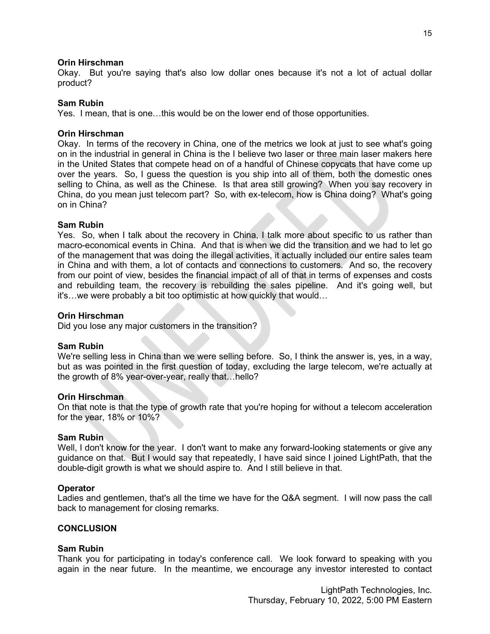### **Orin Hirschman**

Okay. But you're saying that's also low dollar ones because it's not a lot of actual dollar product?

### **Sam Rubin**

Yes. I mean, that is one…this would be on the lower end of those opportunities.

### **Orin Hirschman**

Okay. In terms of the recovery in China, one of the metrics we look at just to see what's going on in the industrial in general in China is the I believe two laser or three main laser makers here in the United States that compete head on of a handful of Chinese copycats that have come up over the years. So, I guess the question is you ship into all of them, both the domestic ones selling to China, as well as the Chinese. Is that area still growing? When you say recovery in China, do you mean just telecom part? So, with ex-telecom, how is China doing? What's going on in China?

### **Sam Rubin**

Yes. So, when I talk about the recovery in China, I talk more about specific to us rather than macro-economical events in China. And that is when we did the transition and we had to let go of the management that was doing the illegal activities, it actually included our entire sales team in China and with them, a lot of contacts and connections to customers. And so, the recovery from our point of view, besides the financial impact of all of that in terms of expenses and costs and rebuilding team, the recovery is rebuilding the sales pipeline. And it's going well, but it's…we were probably a bit too optimistic at how quickly that would…

#### **Orin Hirschman**

Did you lose any major customers in the transition?

# **Sam Rubin**

We're selling less in China than we were selling before. So, I think the answer is, yes, in a way, but as was pointed in the first question of today, excluding the large telecom, we're actually at the growth of 8% year-over-year, really that…hello?

#### **Orin Hirschman**

On that note is that the type of growth rate that you're hoping for without a telecom acceleration for the year, 18% or 10%?

#### **Sam Rubin**

Well, I don't know for the year. I don't want to make any forward-looking statements or give any guidance on that. But I would say that repeatedly, I have said since I joined LightPath, that the double-digit growth is what we should aspire to. And I still believe in that.

# **Operator**

Ladies and gentlemen, that's all the time we have for the Q&A segment. I will now pass the call back to management for closing remarks.

### **CONCLUSION**

#### **Sam Rubin**

Thank you for participating in today's conference call. We look forward to speaking with you again in the near future. In the meantime, we encourage any investor interested to contact